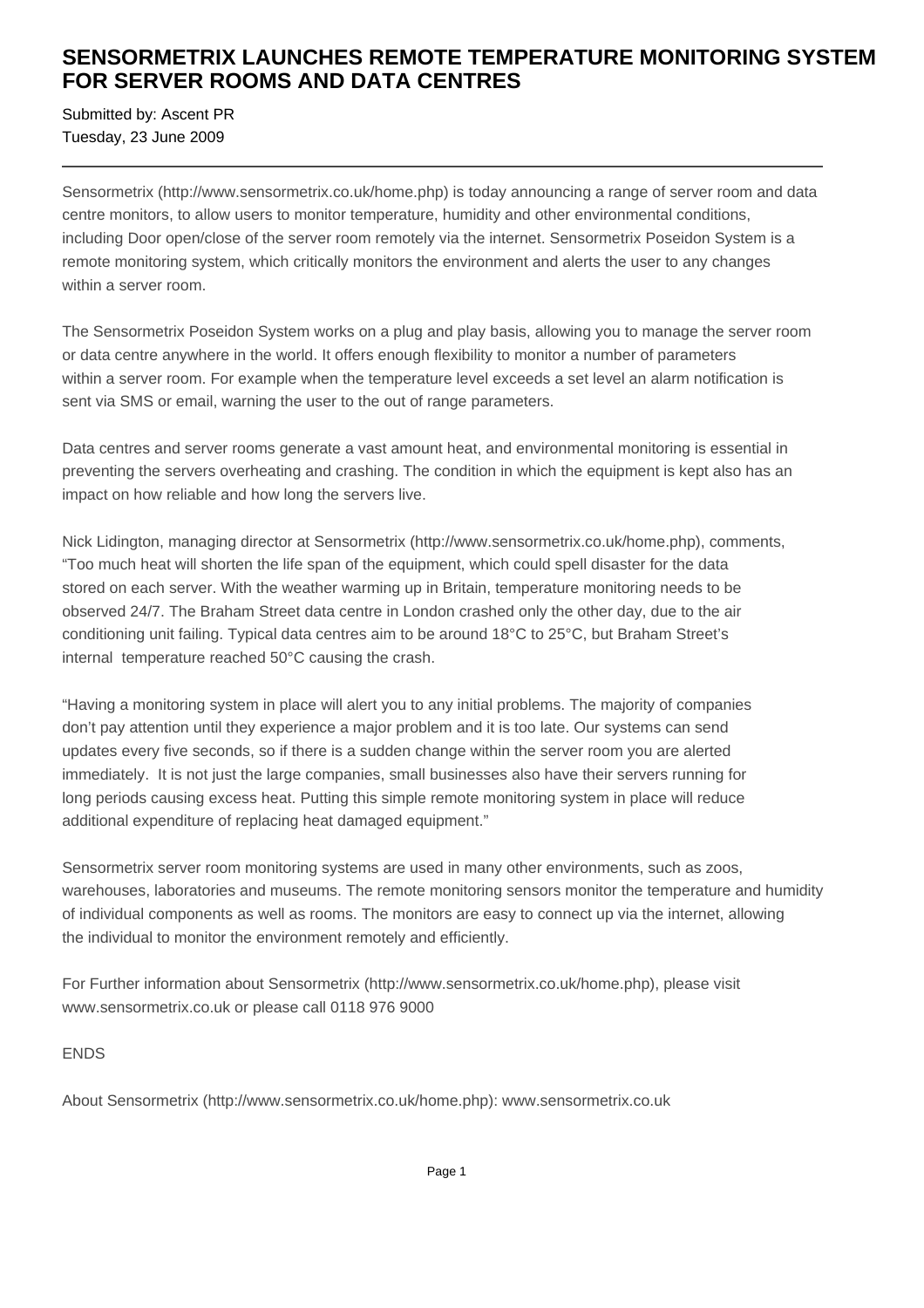## **SENSORMETRIX LAUNCHES REMOTE TEMPERATURE MONITORING SYSTEM FOR SERVER ROOMS AND DATA CENTRES**

Submitted by: Ascent PR Tuesday, 23 June 2009

Sensormetrix (http://www.sensormetrix.co.uk/home.php) is today announcing a range of server room and data centre monitors, to allow users to monitor temperature, humidity and other environmental conditions, including Door open/close of the server room remotely via the internet. Sensormetrix Poseidon System is a remote monitoring system, which critically monitors the environment and alerts the user to any changes within a server room.

The Sensormetrix Poseidon System works on a plug and play basis, allowing you to manage the server room or data centre anywhere in the world. It offers enough flexibility to monitor a number of parameters within a server room. For example when the temperature level exceeds a set level an alarm notification is sent via SMS or email, warning the user to the out of range parameters.

Data centres and server rooms generate a vast amount heat, and environmental monitoring is essential in preventing the servers overheating and crashing. The condition in which the equipment is kept also has an impact on how reliable and how long the servers live.

Nick Lidington, managing director at Sensormetrix (http://www.sensormetrix.co.uk/home.php), comments, "Too much heat will shorten the life span of the equipment, which could spell disaster for the data stored on each server. With the weather warming up in Britain, temperature monitoring needs to be observed 24/7. The Braham Street data centre in London crashed only the other day, due to the air conditioning unit failing. Typical data centres aim to be around 18°C to 25°C, but Braham Street's internal temperature reached 50°C causing the crash.

"Having a monitoring system in place will alert you to any initial problems. The majority of companies don't pay attention until they experience a major problem and it is too late. Our systems can send updates every five seconds, so if there is a sudden change within the server room you are alerted immediately. It is not just the large companies, small businesses also have their servers running for long periods causing excess heat. Putting this simple remote monitoring system in place will reduce additional expenditure of replacing heat damaged equipment."

Sensormetrix server room monitoring systems are used in many other environments, such as zoos, warehouses, laboratories and museums. The remote monitoring sensors monitor the temperature and humidity of individual components as well as rooms. The monitors are easy to connect up via the internet, allowing the individual to monitor the environment remotely and efficiently.

For Further information about Sensormetrix (http://www.sensormetrix.co.uk/home.php), please visit www.sensormetrix.co.uk or please call 0118 976 9000

ENDS

About Sensormetrix (http://www.sensormetrix.co.uk/home.php): www.sensormetrix.co.uk